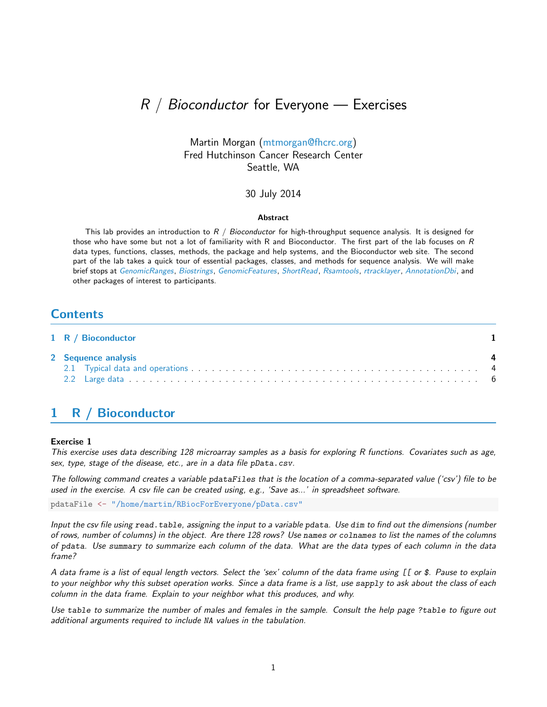# $R / B$ ioconductor for Everyone — Exercises

### Martin Morgan [\(mtmorgan@fhcrc.org\)](mailto:mtmorgan@fhcrc.org) Fred Hutchinson Cancer Research Center Seattle, WA

### 30 July 2014

#### Abstract

This lab provides an introduction to  $R / Bioconductor$  for high-throughput sequence analysis. It is designed for those who have some but not a lot of familiarity with R and Bioconductor. The first part of the lab focuses on R data types, functions, classes, methods, the package and help systems, and the Bioconductor web site. The second part of the lab takes a quick tour of essential packages, classes, and methods for sequence analysis. We will make brief stops at [GenomicRanges](http://bioconductor.org/packages/release/bioc/html/GenomicRanges.html), [Biostrings](http://bioconductor.org/packages/release/bioc/html/Biostrings.html), [GenomicFeatures](http://bioconductor.org/packages/release/bioc/html/GenomicFeatures.html), [ShortRead](http://bioconductor.org/packages/release/bioc/html/ShortRead.html), [Rsamtools](http://bioconductor.org/packages/release/bioc/html/Rsamtools.html), [rtracklayer](http://bioconductor.org/packages/release/bioc/html/rtracklayer.html), [AnnotationDbi](http://bioconductor.org/packages/release/bioc/html/AnnotationDbi.html), and other packages of interest to participants.

## **Contents**

| 1 R / Bioconductor  |  |  |  |  |  |
|---------------------|--|--|--|--|--|
| 2 Sequence analysis |  |  |  |  |  |
|                     |  |  |  |  |  |
|                     |  |  |  |  |  |

# <span id="page-0-0"></span>1 R / Bioconductor

### Exercise 1

This exercise uses data describing 128 microarray samples as a basis for exploring R functions. Covariates such as age, sex, type, stage of the disease, etc., are in a data file pData.csv.

The following command creates a variable pdataFiles that is the location of a comma-separated value ('csv') file to be used in the exercise. A csv file can be created using, e.g., 'Save as...' in spreadsheet software.

pdataFile <- "/home/martin/RBiocForEveryone/pData.csv"

Input the csv file using read.table, assigning the input to a variable pdata. Use dim to find out the dimensions (number of rows, number of columns) in the object. Are there 128 rows? Use names or colnames to list the names of the columns of pdata. Use summary to summarize each column of the data. What are the data types of each column in the data frame?

A data frame is a list of equal length vectors. Select the 'sex' column of the data frame using [[ or \$. Pause to explain to your neighbor why this subset operation works. Since a data frame is a list, use sapply to ask about the class of each column in the data frame. Explain to your neighbor what this produces, and why.

Use table to summarize the number of males and females in the sample. Consult the help page ?table to figure out additional arguments required to include NA values in the tabulation.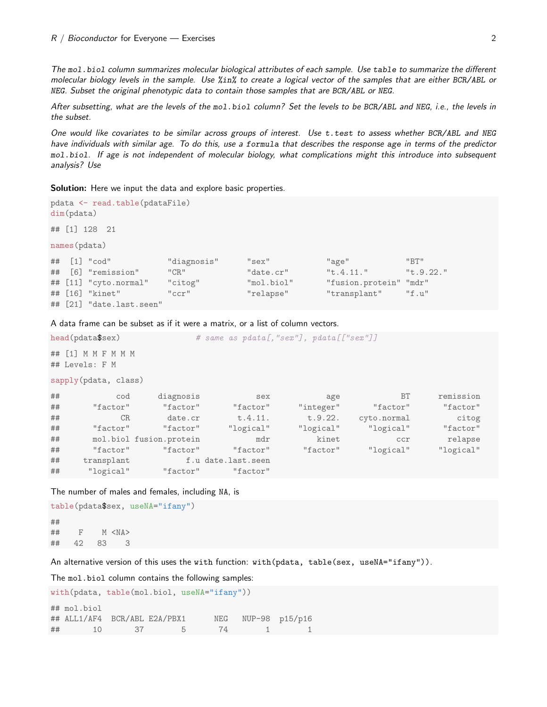The mol.biol column summarizes molecular biological attributes of each sample. Use table to summarize the different molecular biology levels in the sample. Use %in% to create a logical vector of the samples that are either BCR/ABL or NEG. Subset the original phenotypic data to contain those samples that are BCR/ABL or NEG.

After subsetting, what are the levels of the mol.biol column? Set the levels to be BCR/ABL and NEG, i.e., the levels in the subset.

One would like covariates to be similar across groups of interest. Use t.test to assess whether BCR/ABL and NEG have individuals with similar age. To do this, use a formula that describes the response age in terms of the predictor mol.biol. If age is not independent of molecular biology, what complications might this introduce into subsequent analysis? Use

Solution: Here we input the data and explore basic properties.

```
pdata <- read.table(pdataFile)
dim(pdata)
## [1] 128 21
names(pdata)
## [1] "cod" "diagnosis" "sex" "age" "BT"
## [6] "remission" "CR" "date.cr" "t.4.11." "t.9.22."
## [11] "cyto.normal" "citog" "mol.biol" "fusion.protein" "mdr"
## [16] "kinet" "ccr" "relapse" "transplant" "f.u"
## [21] "date.last.seen"
```
A data frame can be subset as if it were a matrix, or a list of column vectors.

| head(pdata\$sex)                     |            |                         | # same as pdata[, "sex"], pdata[["sex"]] |           |             |           |  |  |  |  |
|--------------------------------------|------------|-------------------------|------------------------------------------|-----------|-------------|-----------|--|--|--|--|
| ## [1] M M F M M M<br>## Levels: F M |            |                         |                                          |           |             |           |  |  |  |  |
| sapply(pdata, class)                 |            |                         |                                          |           |             |           |  |  |  |  |
| ##                                   | cod        | diagnosis               | sex                                      | age       | <b>BT</b>   | remission |  |  |  |  |
| ##                                   | "factor"   | "factor"                | "factor"                                 | "integer" | "factor"    | "factor"  |  |  |  |  |
| ##                                   | CR         | date.cr                 | t.4.11.                                  | t.9.22.   | cyto.normal | citog     |  |  |  |  |
| ##                                   | "factor"   | "factor"                | "logical"                                | "logical" | "logical"   | "factor"  |  |  |  |  |
| ##                                   |            | mol.biol fusion.protein | mdr                                      | kinet     | ccr         | relapse   |  |  |  |  |
| ##                                   | "factor"   | "factor"                | "factor"                                 | "factor"  | "logical"   | "logical" |  |  |  |  |
| ##                                   | transplant |                         | f.u date.last.seen                       |           |             |           |  |  |  |  |
| ##                                   | "logical"  | "factor"                | "factor"                                 |           |             |           |  |  |  |  |

The number of males and females, including NA, is

```
table(pdata$sex, useNA="ifany")
##
## F M <NA>
## 42 83 3
```
An alternative version of this uses the with function: with(pdata, table(sex, useNA="ifany")).

The mol.biol column contains the following samples:

```
with(pdata, table(mol.biol, useNA="ifany"))
## mol.biol
## ALL1/AF4 BCR/ABL E2A/PBX1 NEG NUP-98 p15/p16
## 10 37 5 74 1 1
```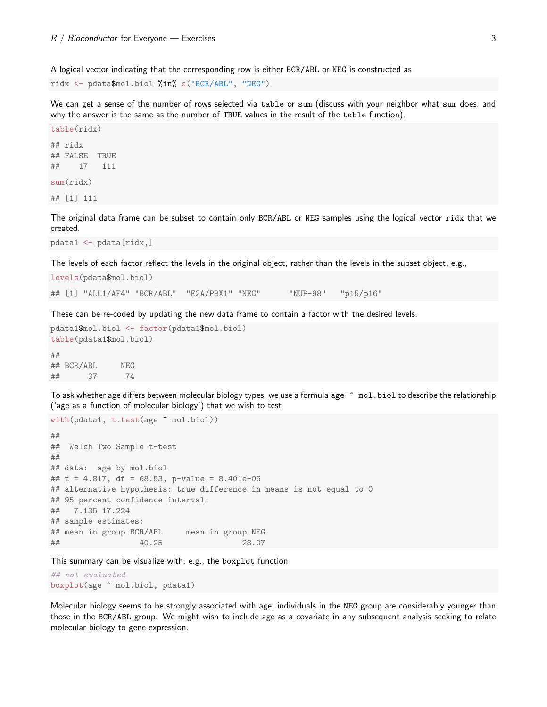A logical vector indicating that the corresponding row is either BCR/ABL or NEG is constructed as

ridx <- pdata\$mol.biol %in% c("BCR/ABL", "NEG")

We can get a sense of the number of rows selected via table or sum (discuss with your neighbor what sum does, and why the answer is the same as the number of TRUE values in the result of the table function).

```
table(ridx)
## ridx
## FALSE TRUE
## 17 111
sum(ridx)
## [1] 111
```
The original data frame can be subset to contain only BCR/ABL or NEG samples using the logical vector ridx that we created.

```
pdata1 <- pdata[ridx,]
```
The levels of each factor reflect the levels in the original object, rather than the levels in the subset object, e.g.,

```
levels(pdata$mol.biol)
## [1] "ALL1/AF4" "BCR/ABL" "E2A/PBX1" "NEG" "NUP-98" "p15/p16"
```
These can be re-coded by updating the new data frame to contain a factor with the desired levels.

```
pdata1$mol.biol <- factor(pdata1$mol.biol)
table(pdata1$mol.biol)
##
## BCR/ABL NEG
## 37 74
```
To ask whether age differs between molecular biology types, we use a formula age  $\tilde{a}$  mol.biol to describe the relationship ('age as a function of molecular biology') that we wish to test

```
with(pdata1, t.test(age ~ mol.biol))
##
## Welch Two Sample t-test
##
## data: age by mol.biol
## t = 4.817, df = 68.53, p-value = 8.401e-06
## alternative hypothesis: true difference in means is not equal to 0
## 95 percent confidence interval:
## 7.135 17.224
## sample estimates:
## mean in group BCR/ABL mean in group NEG
## 40.25 28.07
```
This summary can be visualize with, e.g., the boxplot function

## not evaluated boxplot(age ~ mol.biol, pdata1)

Molecular biology seems to be strongly associated with age; individuals in the NEG group are considerably younger than those in the BCR/ABL group. We might wish to include age as a covariate in any subsequent analysis seeking to relate molecular biology to gene expression.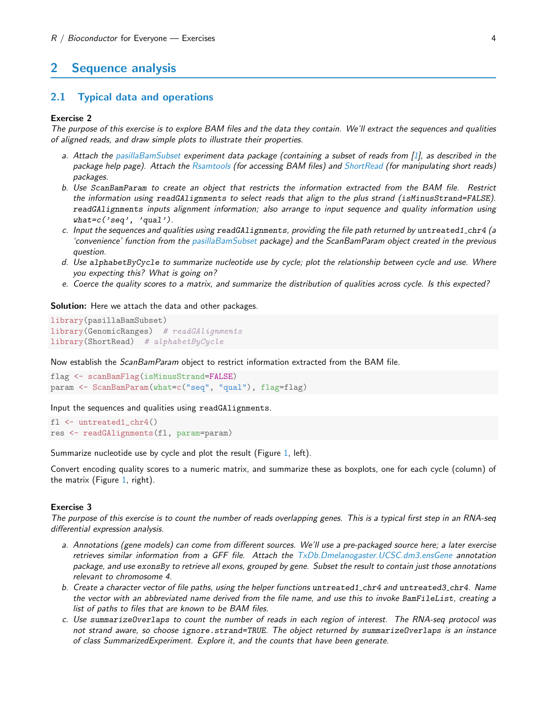## <span id="page-3-0"></span>2 Sequence analysis

### <span id="page-3-1"></span>2.1 Typical data and operations

### Exercise 2

The purpose of this exercise is to explore BAM files and the data they contain. We'll extract the sequences and qualities of aligned reads, and draw simple plots to illustrate their properties.

- a. Attach the [pasillaBamSubset](http://bioconductor.org/packages/release/data/experiment/html/pasillaBamSubset.html) experiment data package (containing a subset of reads from [\[1\]](#page-7-0), as described in the package help page). Attach the [Rsamtools](http://bioconductor.org/packages/release/bioc/html/Rsamtools.html) (for accessing BAM files) and [ShortRead](http://bioconductor.org/packages/release/bioc/html/ShortRead.html) (for manipulating short reads) packages.
- b. Use ScanBamParam to create an object that restricts the information extracted from the BAM file. Restrict the information using readGAlignments to select reads that align to the plus strand (isMinusStrand=FALSE). readGAlignments inputs alignment information; also arrange to input sequence and quality information using  $what = c('seq', 'qual').$
- c. Input the sequences and qualities using readGAlignments, providing the file path returned by untreated1\_chr4 (a 'convenience' function from the [pasillaBamSubset](http://bioconductor.org/packages/release/data/experiment/html/pasillaBamSubset.html) package) and the ScanBamParam object created in the previous question.
- d. Use alphabetByCycle to summarize nucleotide use by cycle; plot the relationship between cycle and use. Where you expecting this? What is going on?
- e. Coerce the quality scores to a matrix, and summarize the distribution of qualities across cycle. Is this expected?

Solution: Here we attach the data and other packages.

```
library(pasillaBamSubset)
library(GenomicRanges) # readGAlignments
library(ShortRead) # alphabetByCycle
```
Now establish the *ScanBamParam* object to restrict information extracted from the BAM file.

```
flag <- scanBamFlag(isMinusStrand=FALSE)
param <- ScanBamParam(what=c("seq", "qual"), flag=flag)
```
Input the sequences and qualities using readGAlignments.

```
fl <- untreated1_chr4()
res <- readGAlignments(fl, param=param)
```
Summarize nucleotide use by cycle and plot the result (Figure [1,](#page-4-0) left).

Convert encoding quality scores to a numeric matrix, and summarize these as boxplots, one for each cycle (column) of the matrix (Figure [1,](#page-4-0) right).

#### Exercise 3

The purpose of this exercise is to count the number of reads overlapping genes. This is a typical first step in an RNA-seq differential expression analysis.

- a. Annotations (gene models) can come from different sources. We'll use a pre-packaged source here; a later exercise retrieves similar information from a GFF file. Attach the [TxDb.Dmelanogaster.UCSC.dm3.ensGene](http://bioconductor.org/packages/release/data/annotation/html/TxDb.Dmelanogaster.UCSC.dm3.ensGene.html) annotation package, and use exonsBy to retrieve all exons, grouped by gene. Subset the result to contain just those annotations relevant to chromosome 4.
- b. Create a character vector of file paths, using the helper functions untreated1 chr4 and untreated3 chr4. Name the vector with an abbreviated name derived from the file name, and use this to invoke BamFileList, creating a list of paths to files that are known to be BAM files.
- c. Use summarizeOverlaps to count the number of reads in each region of interest. The RNA-seq protocol was not strand aware, so choose ignore.strand=TRUE. The object returned by summarizeOverlaps is an instance of class SummarizedExperiment. Explore it, and the counts that have been generate.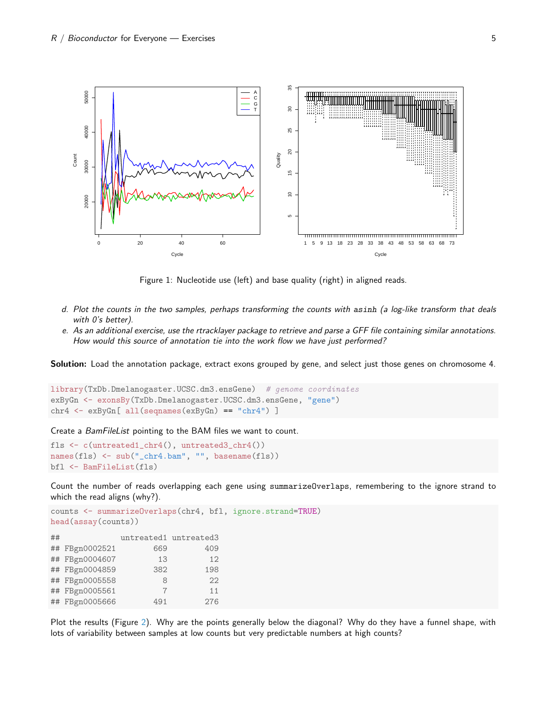

<span id="page-4-0"></span>Figure 1: Nucleotide use (left) and base quality (right) in aligned reads.

- d. Plot the counts in the two samples, perhaps transforming the counts with asinh (a log-like transform that deals with 0's better).
- e. As an additional exercise, use the rtracklayer package to retrieve and parse a GFF file containing similar annotations. How would this source of annotation tie into the work flow we have just performed?

Solution: Load the annotation package, extract exons grouped by gene, and select just those genes on chromosome 4.

```
library(TxDb.Dmelanogaster.UCSC.dm3.ensGene) # genome coordinates
exByGn <- exonsBy(TxDb.Dmelanogaster.UCSC.dm3.ensGene, "gene")
chr4 \leftarrow expGn[ all(seqnames(exByGn) == "chr4")
```
Create a BamFileList pointing to the BAM files we want to count.

```
fls <- c(untreated1_chr4(), untreated3_chr4())
names(fls) <- sub("_chr4.bam", "", basename(fls))
bfl <- BamFileList(fls)
```
Count the number of reads overlapping each gene using summarizeOverlaps, remembering to the ignore strand to which the read aligns (why?).

```
counts <- summarizeOverlaps(chr4, bfl, ignore.strand=TRUE)
head(assay(counts))
```

| ## |                | untreated1 untreated3 |     |
|----|----------------|-----------------------|-----|
|    | ## FBgn0002521 | 669                   | 409 |
|    | ## FBgn0004607 | 13                    | 12  |
|    | ## FBgn0004859 | 382                   | 198 |
|    | ## FBgn0005558 | 8                     | 22  |
|    | ## FBgn0005561 | 7                     | 11  |
|    | ## FBgn0005666 | 491                   | 276 |

Plot the results (Figure [2\)](#page-5-1). Why are the points generally below the diagonal? Why do they have a funnel shape, with lots of variability between samples at low counts but very predictable numbers at high counts?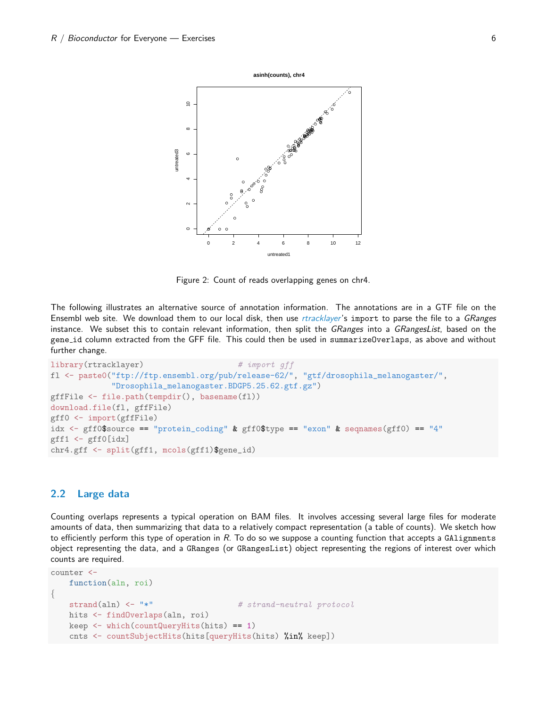

<span id="page-5-1"></span>Figure 2: Count of reads overlapping genes on chr4.

The following illustrates an alternative source of annotation information. The annotations are in a GTF file on the Ensembl web site. We download them to our local disk, then use [rtracklayer](http://bioconductor.org/packages/release/bioc/html/rtracklayer.html)'s import to parse the file to a GRanges instance. We subset this to contain relevant information, then split the GRanges into a GRangesList, based on the gene id column extracted from the GFF file. This could then be used in summarizeOverlaps, as above and without further change.

```
library(rtracklayer) # import qff
fl <- paste0("ftp://ftp.ensembl.org/pub/release-62/", "gtf/drosophila_melanogaster/",
             "Drosophila_melanogaster.BDGP5.25.62.gtf.gz")
gffFile <- file.path(tempdir(), basename(fl))
download.file(fl, gffFile)
gff0 <- import(gffFile)
idx \leq gff0$source == "protein_coding" & gff0$type == "exon" & seqnames(gff0) == "4"
gff1 \leftarrow gff0[idx]chr4.gff <- split(gff1, mcols(gff1)$gene_id)
```
### <span id="page-5-0"></span>2.2 Large data

Counting overlaps represents a typical operation on BAM files. It involves accessing several large files for moderate amounts of data, then summarizing that data to a relatively compact representation (a table of counts). We sketch how to efficiently perform this type of operation in R. To do so we suppose a counting function that accepts a GAlignments object representing the data, and a GRanges (or GRangesList) object representing the regions of interest over which counts are required.

```
counter <-
    function(aln, roi)
{
    strand(aln) \leftarrow "*" # \text{strand-neutral protocol}hits <- findOverlaps(aln, roi)
   keep <- which(countQueryHits(hits) == 1)
    cnts <- countSubjectHits(hits[queryHits(hits) %in% keep])
```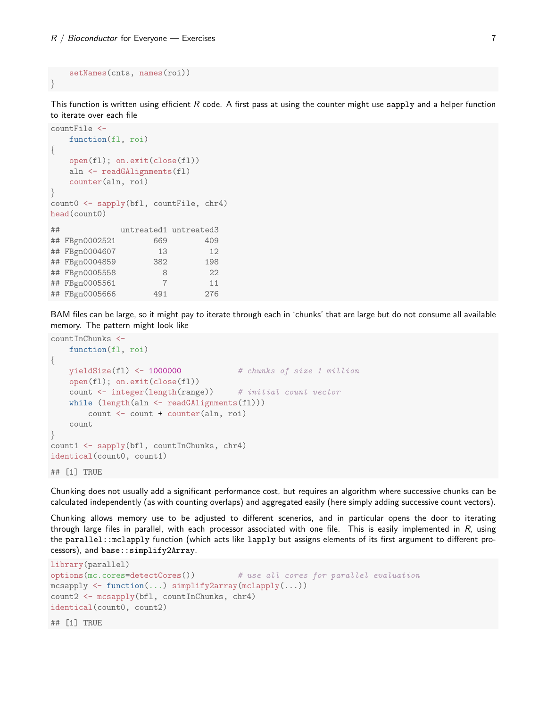```
setNames(cnts, names(roi))
```
}

This function is written using efficient  $R$  code. A first pass at using the counter might use sapply and a helper function to iterate over each file

```
countFile <-
   function(fl, roi)
\{open(fl); on.exit(close(fl))
   aln <- readGAlignments(fl)
   counter(aln, roi)
}
count0 <- sapply(bfl, countFile, chr4)
head(count0)
## untreated1 untreated3
## FBgn0002521 669 409
## FBgn0004607 13 12
## FBgn0004859 382 198
## FBgn0005558 8 22
## FBgn0005561 7 11
## FBgn0005666 491 276
```
BAM files can be large, so it might pay to iterate through each in 'chunks' that are large but do not consume all available memory. The pattern might look like

```
countInChunks <-
   function(fl, roi)
\{yieldSize(fl) <- 1000000 # chunks of size 1 million
   open(fl); on.exit(close(fl))
   count <- integer(length(range)) # initial count vector
   while (length(aln <- readGAlignments(fl)))
       count <- count + counter(aln, roi)
   count
}
count1 <- sapply(bfl, countInChunks, chr4)
identical(count0, count1)
## [1] TRUE
```
Chunking does not usually add a significant performance cost, but requires an algorithm where successive chunks can be calculated independently (as with counting overlaps) and aggregated easily (here simply adding successive count vectors).

Chunking allows memory use to be adjusted to different scenerios, and in particular opens the door to iterating through large files in parallel, with each processor associated with one file. This is easily implemented in  $R$ , using the parallel::mclapply function (which acts like lapply but assigns elements of its first argument to different processors), and base::simplify2Array.

```
library(parallel)
options(mc.cores=detectCores()) # use all cores for parallel evaluation
mcsapply <- function(...) simplify2array(mclapply(...))
count2 <- mcsapply(bfl, countInChunks, chr4)
identical(count0, count2)
## [1] TRUE
```